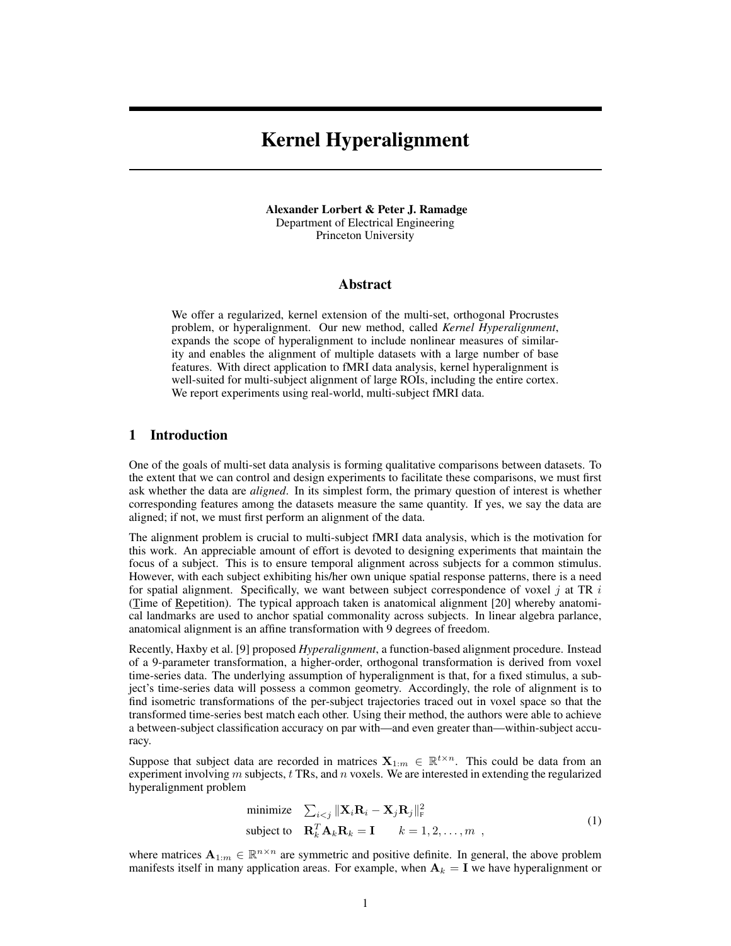# Kernel Hyperalignment

Alexander Lorbert & Peter J. Ramadge Department of Electrical Engineering Princeton University

## Abstract

We offer a regularized, kernel extension of the multi-set, orthogonal Procrustes problem, or hyperalignment. Our new method, called *Kernel Hyperalignment*, expands the scope of hyperalignment to include nonlinear measures of similarity and enables the alignment of multiple datasets with a large number of base features. With direct application to fMRI data analysis, kernel hyperalignment is well-suited for multi-subject alignment of large ROIs, including the entire cortex. We report experiments using real-world, multi-subject fMRI data.

## 1 Introduction

One of the goals of multi-set data analysis is forming qualitative comparisons between datasets. To the extent that we can control and design experiments to facilitate these comparisons, we must first ask whether the data are *aligned*. In its simplest form, the primary question of interest is whether corresponding features among the datasets measure the same quantity. If yes, we say the data are aligned; if not, we must first perform an alignment of the data.

The alignment problem is crucial to multi-subject fMRI data analysis, which is the motivation for this work. An appreciable amount of effort is devoted to designing experiments that maintain the focus of a subject. This is to ensure temporal alignment across subjects for a common stimulus. However, with each subject exhibiting his/her own unique spatial response patterns, there is a need for spatial alignment. Specifically, we want between subject correspondence of voxel  $j$  at TR  $i$ (Time of Repetition). The typical approach taken is anatomical alignment [20] whereby anatomical landmarks are used to anchor spatial commonality across subjects. In linear algebra parlance, anatomical alignment is an affine transformation with 9 degrees of freedom.

Recently, Haxby et al. [9] proposed *Hyperalignment*, a function-based alignment procedure. Instead of a 9-parameter transformation, a higher-order, orthogonal transformation is derived from voxel time-series data. The underlying assumption of hyperalignment is that, for a fixed stimulus, a subject's time-series data will possess a common geometry. Accordingly, the role of alignment is to find isometric transformations of the per-subject trajectories traced out in voxel space so that the transformed time-series best match each other. Using their method, the authors were able to achieve a between-subject classification accuracy on par with—and even greater than—within-subject accuracy.

Suppose that subject data are recorded in matrices  $X_{1:m} \in \mathbb{R}^{t \times n}$ . This could be data from an experiment involving  $m$  subjects,  $t$  TRs, and  $n$  voxels. We are interested in extending the regularized hyperalignment problem

minimize 
$$
\sum_{i < j} \|\mathbf{X}_i \mathbf{R}_i - \mathbf{X}_j \mathbf{R}_j\|_{\text{F}}^2
$$
  
subject to  $\mathbf{R}_k^T \mathbf{A}_k \mathbf{R}_k = \mathbf{I} \qquad k = 1, 2, \dots, m$ , (1)

where matrices  $A_{1:m} \in \mathbb{R}^{n \times n}$  are symmetric and positive definite. In general, the above problem manifests itself in many application areas. For example, when  $A_k = I$  we have hyperalignment or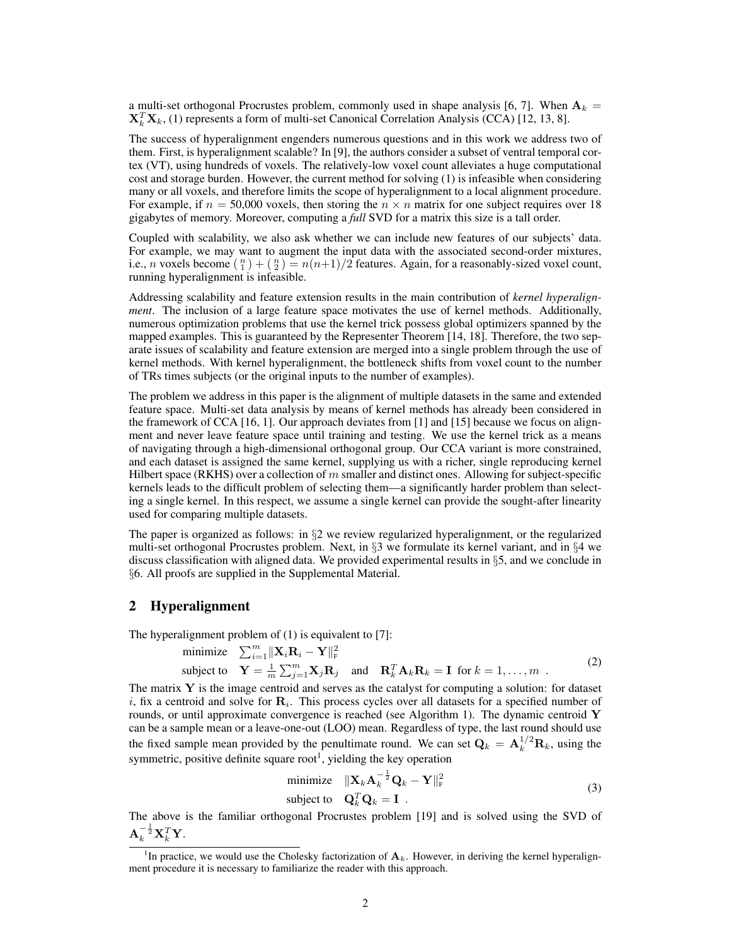a multi-set orthogonal Procrustes problem, commonly used in shape analysis [6, 7]. When  $A_k =$  $\mathbf{X}_k^T \mathbf{X}_k$ , (1) represents a form of multi-set Canonical Correlation Analysis (CCA) [12, 13, 8].

The success of hyperalignment engenders numerous questions and in this work we address two of them. First, is hyperalignment scalable? In [9], the authors consider a subset of ventral temporal cortex (VT), using hundreds of voxels. The relatively-low voxel count alleviates a huge computational cost and storage burden. However, the current method for solving (1) is infeasible when considering many or all voxels, and therefore limits the scope of hyperalignment to a local alignment procedure. For example, if  $n = 50,000$  voxels, then storing the  $n \times n$  matrix for one subject requires over 18 gigabytes of memory. Moreover, computing a *full* SVD for a matrix this size is a tall order.

Coupled with scalability, we also ask whether we can include new features of our subjects' data. For example, we may want to augment the input data with the associated second-order mixtures, i.e., *n* voxels become  $\binom{n}{1} + \binom{n}{2} = n(n+1)/2$  features. Again, for a reasonably-sized voxel count, running hyperalignment is infeasible.

Addressing scalability and feature extension results in the main contribution of *kernel hyperalignment*. The inclusion of a large feature space motivates the use of kernel methods. Additionally, numerous optimization problems that use the kernel trick possess global optimizers spanned by the mapped examples. This is guaranteed by the Representer Theorem [14, 18]. Therefore, the two separate issues of scalability and feature extension are merged into a single problem through the use of kernel methods. With kernel hyperalignment, the bottleneck shifts from voxel count to the number of TRs times subjects (or the original inputs to the number of examples).

The problem we address in this paper is the alignment of multiple datasets in the same and extended feature space. Multi-set data analysis by means of kernel methods has already been considered in the framework of CCA [16, 1]. Our approach deviates from [1] and [15] because we focus on alignment and never leave feature space until training and testing. We use the kernel trick as a means of navigating through a high-dimensional orthogonal group. Our CCA variant is more constrained, and each dataset is assigned the same kernel, supplying us with a richer, single reproducing kernel Hilbert space (RKHS) over a collection of m smaller and distinct ones. Allowing for subject-specific kernels leads to the difficult problem of selecting them—a significantly harder problem than selecting a single kernel. In this respect, we assume a single kernel can provide the sought-after linearity used for comparing multiple datasets.

The paper is organized as follows: in §2 we review regularized hyperalignment, or the regularized multi-set orthogonal Procrustes problem. Next, in  $\S$ 3 we formulate its kernel variant, and in  $\S$ 4 we discuss classification with aligned data. We provided experimental results in §5, and we conclude in §6. All proofs are supplied in the Supplemental Material.

## 2 Hyperalignment

The hyperalignment problem of (1) is equivalent to [7]:

minimize 
$$
\sum_{i=1}^{m} ||\mathbf{X}_i \mathbf{R}_i - \mathbf{Y}||_F^2
$$
  
subject to  $\mathbf{Y} = \frac{1}{m} \sum_{j=1}^{m} \mathbf{X}_j \mathbf{R}_j$  and  $\mathbf{R}_k^T \mathbf{A}_k \mathbf{R}_k = \mathbf{I}$  for  $k = 1, ..., m$ . (2)

The matrix  $Y$  is the image centroid and serves as the catalyst for computing a solution: for dataset i, fix a centroid and solve for  $\mathbf{R}_i$ . This process cycles over all datasets for a specified number of rounds, or until approximate convergence is reached (see Algorithm 1). The dynamic centroid  $\bf{Y}$ can be a sample mean or a leave-one-out (LOO) mean. Regardless of type, the last round should use the fixed sample mean provided by the penultimate round. We can set  $\mathbf{Q}_k = \mathbf{A}_k^{1/2} \mathbf{R}_k$ , using the symmetric, positive definite square root<sup>1</sup>, yielding the key operation

minimize 
$$
\|\mathbf{X}_k \mathbf{A}_k^{-\frac{1}{2}} \mathbf{Q}_k - \mathbf{Y}\|_{\text{F}}^2
$$
  
subject to  $\mathbf{Q}_k^T \mathbf{Q}_k = \mathbf{I}$ . (3)

The above is the familiar orthogonal Procrustes problem [19] and is solved using the SVD of  $\mathbf{A}_k^{-\frac{1}{2}} \mathbf{X}_k^T \mathbf{Y}.$ 

<sup>&</sup>lt;sup>1</sup>In practice, we would use the Cholesky factorization of  $A_k$ . However, in deriving the kernel hyperalignment procedure it is necessary to familiarize the reader with this approach.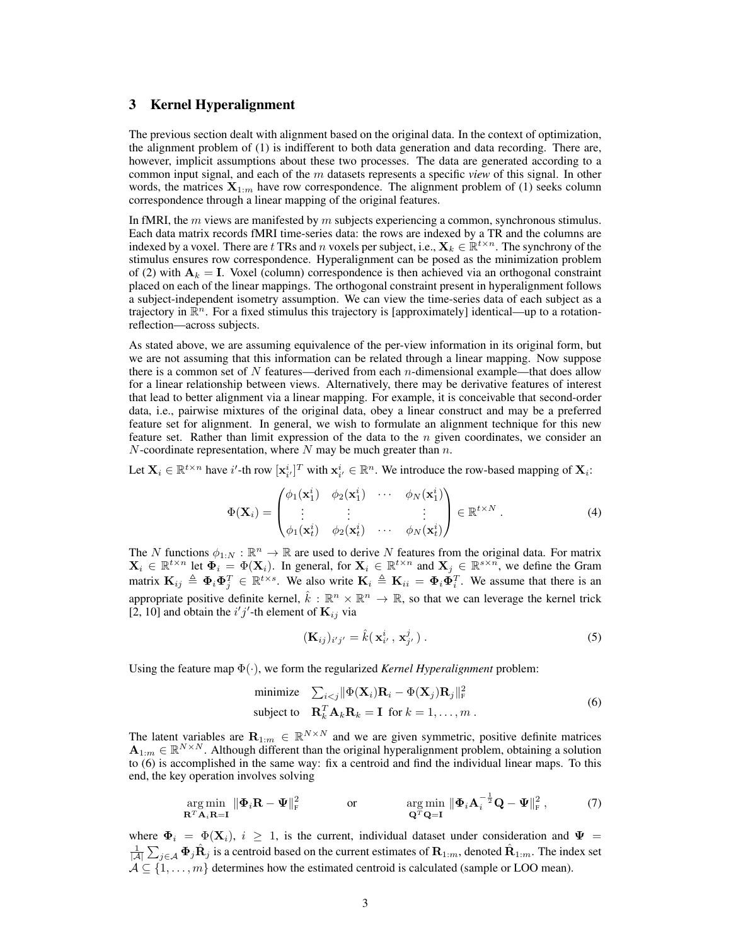# 3 Kernel Hyperalignment

The previous section dealt with alignment based on the original data. In the context of optimization, the alignment problem of (1) is indifferent to both data generation and data recording. There are, however, implicit assumptions about these two processes. The data are generated according to a common input signal, and each of the m datasets represents a specific *view* of this signal. In other words, the matrices  $X_{1:m}$  have row correspondence. The alignment problem of (1) seeks column correspondence through a linear mapping of the original features.

In fMRI, the  $m$  views are manifested by  $m$  subjects experiencing a common, synchronous stimulus. Each data matrix records fMRI time-series data: the rows are indexed by a TR and the columns are indexed by a voxel. There are t TRs and n voxels per subject, i.e.,  $\mathbf{X}_k \in \mathbb{R}^{t \times n}$ . The synchrony of the stimulus ensures row correspondence. Hyperalignment can be posed as the minimization problem of (2) with  $A_k = I$ . Voxel (column) correspondence is then achieved via an orthogonal constraint placed on each of the linear mappings. The orthogonal constraint present in hyperalignment follows a subject-independent isometry assumption. We can view the time-series data of each subject as a trajectory in  $\mathbb{R}^n$ . For a fixed stimulus this trajectory is [approximately] identical—up to a rotationreflection—across subjects.

As stated above, we are assuming equivalence of the per-view information in its original form, but we are not assuming that this information can be related through a linear mapping. Now suppose there is a common set of N features—derived from each *n*-dimensional example—that does allow for a linear relationship between views. Alternatively, there may be derivative features of interest that lead to better alignment via a linear mapping. For example, it is conceivable that second-order data, i.e., pairwise mixtures of the original data, obey a linear construct and may be a preferred feature set for alignment. In general, we wish to formulate an alignment technique for this new feature set. Rather than limit expression of the data to the  $n$  given coordinates, we consider an N-coordinate representation, where N may be much greater than  $n$ .

Let  $X_i \in \mathbb{R}^{t \times n}$  have i'-th row  $\left[\mathbf{x}_{i'}^i\right]^T$  with  $\mathbf{x}_{i'}^i \in \mathbb{R}^n$ . We introduce the row-based mapping of  $\mathbf{X}_i$ :

$$
\Phi(\mathbf{X}_{i}) = \begin{pmatrix} \phi_{1}(\mathbf{x}_{1}^{i}) & \phi_{2}(\mathbf{x}_{1}^{i}) & \cdots & \phi_{N}(\mathbf{x}_{1}^{i}) \\ \vdots & \vdots & & \vdots \\ \phi_{1}(\mathbf{x}_{t}^{i}) & \phi_{2}(\mathbf{x}_{t}^{i}) & \cdots & \phi_{N}(\mathbf{x}_{t}^{i}) \end{pmatrix} \in \mathbb{R}^{t \times N} .
$$
\n(4)

The N functions  $\phi_{1:N} : \mathbb{R}^n \to \mathbb{R}$  are used to derive N features from the original data. For matrix  $X_i \in \mathbb{R}^{t \times n}$  let  $\Phi_i = \Phi(X_i)$ . In general, for  $X_i \in \mathbb{R}^{t \times n}$  and  $X_j \in \mathbb{R}^{s \times n}$ , we define the Gram matrix  $\mathbf{K}_{ij} \triangleq \mathbf{\Phi}_i \mathbf{\Phi}_j^T \in \mathbb{R}^{t \times s}$ . We also write  $\mathbf{K}_i \triangleq \mathbf{K}_{ii} = \mathbf{\Phi}_i \mathbf{\Phi}_i^T$ . We assume that there is an appropriate positive definite kernel,  $\hat{k}: \mathbb{R}^n \times \mathbb{R}^n \to \mathbb{R}$ , so that we can leverage the kernel trick [2, 10] and obtain the  $i'j'$ -th element of  $\mathbf{K}_{ij}$  via

$$
(\mathbf{K}_{ij})_{i'j'} = \hat{k}(\mathbf{x}_{i'}^i, \mathbf{x}_{j'}^j).
$$
 (5)

Using the feature map Φ(·), we form the regularized *Kernel Hyperalignment* problem:

minimize 
$$
\sum_{i < j} \|\Phi(\mathbf{X}_i)\mathbf{R}_i - \Phi(\mathbf{X}_j)\mathbf{R}_j\|_{\text{F}}^2
$$
  
\nsubject to  $\mathbf{R}_k^T \mathbf{A}_k \mathbf{R}_k = \mathbf{I}$  for  $k = 1, ..., m$ . (6)

The latent variables are  $\mathbf{R}_{1:m} \in \mathbb{R}^{N \times N}$  and we are given symmetric, positive definite matrices  $A_{1:m} \in \mathbb{R}^{N \times N}$ . Although different than the original hyperalignment problem, obtaining a solution to (6) is accomplished in the same way: fix a centroid and find the individual linear maps. To this end, the key operation involves solving

$$
\underset{\mathbf{R}^T\mathbf{A}_i\mathbf{R}=\mathbf{I}}{\arg\min} \|\boldsymbol{\Phi}_i\mathbf{R}-\boldsymbol{\Psi}\|_{\text{F}}^2 \quad \text{or} \quad \underset{\mathbf{Q}^T\mathbf{Q}=\mathbf{I}}{\arg\min} \|\boldsymbol{\Phi}_i\mathbf{A}_i^{-\frac{1}{2}}\mathbf{Q}-\boldsymbol{\Psi}\|_{\text{F}}^2, \quad (7)
$$

where  $\Phi_i = \Phi(\mathbf{X}_i)$ ,  $i \geq 1$ , is the current, individual dataset under consideration and  $\Psi =$  $\frac{1}{|A|}\sum_{j\in A}\Phi_j\hat{\mathbf{R}}_j$  is a centroid based on the current estimates of  $\mathbf{R}_{1:m}$ , denoted  $\hat{\mathbf{R}}_{1:m}$ . The index set  $A \subseteq \{1, \ldots, m\}$  determines how the estimated centroid is calculated (sample or LOO mean).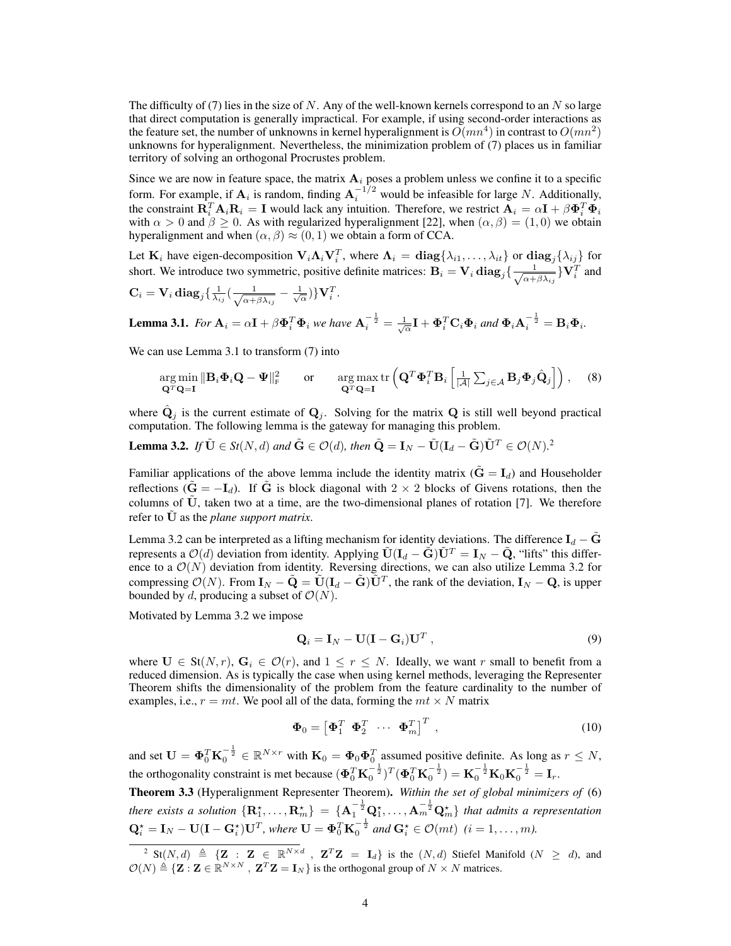The difficulty of (7) lies in the size of N. Any of the well-known kernels correspond to an  $N$  so large that direct computation is generally impractical. For example, if using second-order interactions as the feature set, the number of unknowns in kernel hyperalignment is  $\tilde{O}(mn^4)$  in contrast to  $O(mn^2)$ unknowns for hyperalignment. Nevertheless, the minimization problem of (7) places us in familiar territory of solving an orthogonal Procrustes problem.

Since we are now in feature space, the matrix  $A_i$  poses a problem unless we confine it to a specific form. For example, if  $A_i$  is random, finding  $A_i^{-1/2}$  would be infeasible for large N. Additionally, the constraint  $\mathbf{R}_i^T \mathbf{A}_i \mathbf{R}_i = \mathbf{I}$  would lack any intuition. Therefore, we restrict  $\mathbf{A}_i = \alpha \mathbf{I} + \beta \mathbf{\Phi}_i^T \mathbf{\Phi}_i$ with  $\alpha > 0$  and  $\beta \ge 0$ . As with regularized hyperalignment [22], when  $(\alpha, \beta) = (1, 0)$  we obtain hyperalignment and when  $(\alpha, \beta) \approx (0, 1)$  we obtain a form of CCA.

Let  $K_i$  have eigen-decomposition  $V_i \Lambda_i V_i^T$ , where  $\Lambda_i = \text{diag}\{\lambda_{i1}, \dots, \lambda_{it}\}$  or  $\text{diag}_j\{\lambda_{ij}\}$  for short. We introduce two symmetric, positive definite matrices:  $B_i = V_i \frac{d}{d\sigma_i} \left( \frac{1}{\sqrt{2\sigma_i}} \right)$  $\frac{1}{\alpha+\beta\lambda_{ij}}\} \mathbf{V}^T_i$  and

$$
\mathbf{C}_i = \mathbf{V}_i \operatorname{diag}_j \{ \frac{1}{\lambda_{ij}} \left( \frac{1}{\sqrt{\alpha + \beta \lambda_{ij}}} - \frac{1}{\sqrt{\alpha}} \right) \} \mathbf{V}_i^T.
$$

**Lemma 3.1.** For 
$$
\mathbf{A}_i = \alpha \mathbf{I} + \beta \mathbf{\Phi}_i^T \mathbf{\Phi}_i
$$
 we have  $\mathbf{A}_i^{-\frac{1}{2}} = \frac{1}{\sqrt{\alpha}} \mathbf{I} + \mathbf{\Phi}_i^T \mathbf{C}_i \mathbf{\Phi}_i$  and  $\mathbf{\Phi}_i \mathbf{A}_i^{-\frac{1}{2}} = \mathbf{B}_i \mathbf{\Phi}_i$ .

We can use Lemma 3.1 to transform  $(7)$  into

$$
\underset{\mathbf{Q}^T\mathbf{Q}=\mathbf{I}}{\arg\min} \|\mathbf{B}_i\mathbf{\Phi}_i\mathbf{Q} - \mathbf{\Psi}\|_{\mathrm{F}}^2 \quad \text{or} \quad \underset{\mathbf{Q}^T\mathbf{Q}=\mathbf{I}}{\arg\max} \operatorname{tr}\left(\mathbf{Q}^T\mathbf{\Phi}_i^T\mathbf{B}_i\left[\frac{1}{|\mathcal{A}|}\sum_{j\in\mathcal{A}}\mathbf{B}_j\mathbf{\Phi}_j\hat{\mathbf{Q}}_j\right]\right), \quad (8)
$$

where  $\hat{\mathbf{Q}}_j$  is the current estimate of  $\mathbf{Q}_j$ . Solving for the matrix  $\mathbf{Q}$  is still well beyond practical computation. The following lemma is the gateway for managing this problem.

**Lemma 3.2.** *If*  $\tilde{\mathbf{U}} \in St(N,d)$  and  $\tilde{\mathbf{G}} \in \mathcal{O}(d)$ , then  $\tilde{\mathbf{Q}} = \mathbf{I}_N - \tilde{\mathbf{U}}(\mathbf{I}_d - \tilde{\mathbf{G}})\tilde{\mathbf{U}}^T \in \mathcal{O}(N).$ <sup>2</sup>

Familiar applications of the above lemma include the identity matrix  $(\tilde{G} = I_d)$  and Householder reflections ( $\tilde{G} = -I_d$ ). If  $\tilde{G}$  is block diagonal with 2 × 2 blocks of Givens rotations, then the columns of  $\tilde{U}$ , taken two at a time, are the two-dimensional planes of rotation [7]. We therefore refer to  $\dot{\mathbf{U}}$  as the *plane support matrix*.

Lemma 3.2 can be interpreted as a lifting mechanism for identity deviations. The difference  $I_d - \tilde{G}$ represents a  $\mathcal{O}(d)$  deviation from identity. Applying  $\tilde{\mathbf{U}}(\mathbf{I}_d - \tilde{\mathbf{G}})\tilde{\mathbf{U}}^T = \mathbf{I}_N - \tilde{\mathbf{Q}}$ , "lifts" this difference to a  $\mathcal{O}(N)$  deviation from identity. Reversing directions, we can also utilize Lemma 3.2 for compressing  $\mathcal{O}(N)$ . From  $\mathbf{I}_N - \tilde{\mathbf{Q}} = \tilde{\mathbf{U}} (\mathbf{I}_d - \tilde{\mathbf{G}}) \tilde{\mathbf{U}}^T$ , the rank of the deviation,  $\mathbf{I}_N - \mathbf{Q}$ , is upper bounded by d, producing a subset of  $\mathcal{O}(N)$ .

Motivated by Lemma 3.2 we impose

$$
\mathbf{Q}_i = \mathbf{I}_N - \mathbf{U}(\mathbf{I} - \mathbf{G}_i)\mathbf{U}^T, \qquad (9)
$$

where  $\mathbf{U} \in \text{St}(N,r)$ ,  $\mathbf{G}_i \in \mathcal{O}(r)$ , and  $1 \leq r \leq N$ . Ideally, we want r small to benefit from a reduced dimension. As is typically the case when using kernel methods, leveraging the Representer Theorem shifts the dimensionality of the problem from the feature cardinality to the number of examples, i.e.,  $r = mt$ . We pool all of the data, forming the  $mt \times N$  matrix

$$
\mathbf{\Phi}_0 = \begin{bmatrix} \mathbf{\Phi}_1^T & \mathbf{\Phi}_2^T & \cdots & \mathbf{\Phi}_m^T \end{bmatrix}^T , \qquad (10)
$$

and set  $\mathbf{U} = \mathbf{\Phi}_0^T \mathbf{K}_0^{-\frac{1}{2}} \in \mathbb{R}^{N \times r}$  with  $\mathbf{K}_0 = \mathbf{\Phi}_0 \mathbf{\Phi}_0^T$  assumed positive definite. As long as  $r \le N$ , the orthogonality constraint is met because  $(\Phi_0^T \mathbf{K}_0^{-\frac{1}{2}})^T (\Phi_0^T \mathbf{K}_0^{-\frac{1}{2}}) = \mathbf{K}_0^{-\frac{1}{2}} \mathbf{K}_0 \mathbf{K}_0^{-\frac{1}{2}} = \mathbf{I}_r$ .

Theorem 3.3 (Hyperalignment Representer Theorem). *Within the set of global minimizers of* (6) there exists a solution  $\{R_1^*,\ldots,R_m^*\} = \{A_1^{-\frac{1}{2}}Q_1^*,\ldots,A_m^{-\frac{1}{2}}Q_m^*\}$  that admits a representation  $\mathbf{Q}_i^* = \mathbf{I}_N - \mathbf{U}(\mathbf{I} - \mathbf{G}_i^*)\mathbf{U}^T$ , where  $\mathbf{U} = \mathbf{\Phi}_0^T \mathbf{K}_0^{-\frac{1}{2}}$  and  $\mathbf{G}_i^* \in \mathcal{O}(mt)$   $(i = 1, \ldots, m)$ .

<sup>&</sup>lt;sup>2</sup> St(N, d)  $\triangleq \{Z : Z \in \mathbb{R}^{N \times d}$ ,  $Z^T Z = I_d\}$  is the  $(N, d)$  Stiefel Manifold  $(N \geq d)$ , and  $\mathcal{O}(N) \triangleq {\{\mathbf{Z}: \mathbf{Z} \in \mathbb{R}^{N \times N} \}, \mathbf{Z}^T \mathbf{Z} = \mathbf{I}_N\}}$  is the orthogonal group of  $N \times N$  matrices.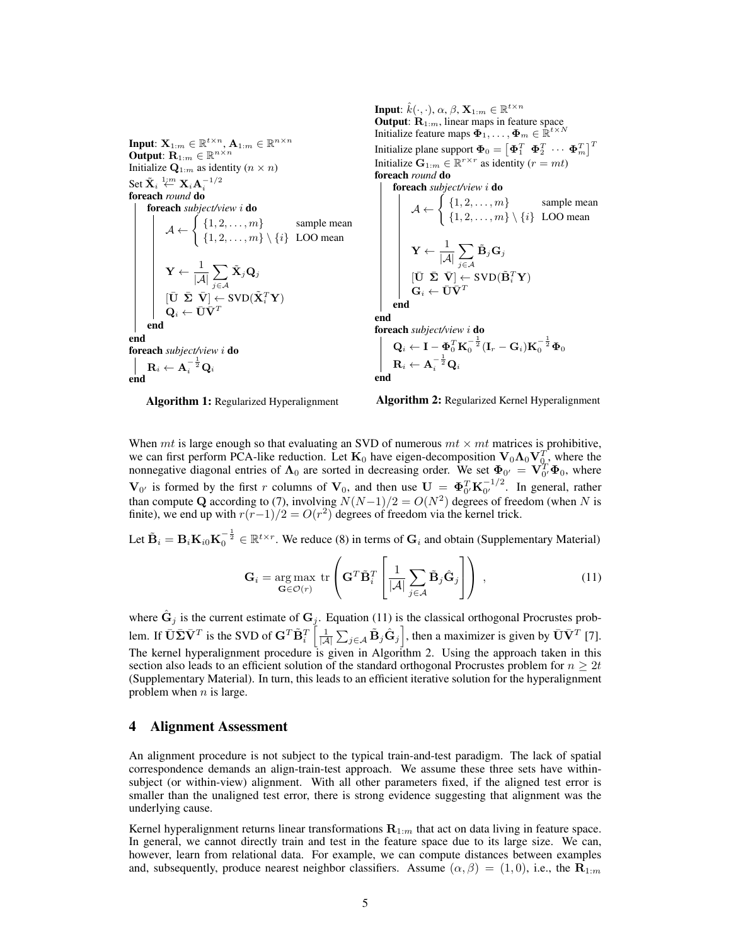Input:  $\mathbf{X}_{1:m} \in \mathbb{R}^{t \times n}$ ,  $\mathbf{A}_{1:m} \in \mathbb{R}^{n \times n}$ Output:  $\mathbf{R}_{1:m} \in \mathbb{R}^{n \times n}$ Initialize  $\mathbf{Q}_{1:m}$  as identity  $(n \times n)$ Set  $\tilde{\mathbf{X}}_i \overset{1:m}{\leftarrow} \mathbf{X}_i \mathbf{A}_i^{-1/2}$ foreach *round* do foreach *subject/view* i do  $A \leftarrow \begin{cases} \{1, 2, \dots, m\} & \text{sample mean} \\ \{1, 2, \dots, m\} & \{1, 2, 3, \dots, n\} \end{cases}$  $\{1, 2, \ldots, m\} \setminus \{i\}$  LOO mean  $\mathbf{Y} \leftarrow \frac{1}{1.4}$  $|\mathcal{A}|$  $\sum$ j∈A  $\tilde{\mathbf{X}}_j\mathbf{Q}_j$  $[\bar{\textbf{U}} ~~ \bar{\boldsymbol{\Sigma}} ~~ \bar{\textbf{V}}] \leftarrow \text{SVD}(\tilde{\textbf{X}}_i^T \textbf{Y})$  $\mathbf{Q}_i \leftarrow \bar{\mathbf{U}} \bar{\mathbf{V}}^T$ end end foreach *subject/view* i do  $\mathbf{R}_i \leftarrow \mathbf{A}_i^{-\frac{1}{2}} \mathbf{Q}_i$ end

Input:  $\hat{k}(\cdot,\cdot)$ ,  $\alpha$ ,  $\beta$ ,  $\mathbf{X}_{1:m} \in \mathbb{R}^{t \times n}$ **Output:**  $R_{1:m}$ , linear maps in feature space Initialize feature maps  $\mathbf{\Phi}_1, \dots, \mathbf{\Phi}_m \in \mathbb{R}^{t \times N}$ Initialize plane support  $\mathbf{\Phi}_0 = \begin{bmatrix} \mathbf{\Phi}_1^T & \mathbf{\Phi}_2^T & \cdots & \mathbf{\Phi}_m^T \end{bmatrix}^T$ Initialize  $\mathbf{G}_{1:m} \in \mathbb{R}^{r \times r}$  as identity  $(r = mt)$ foreach *round* do **foreach** *subject/view i*  $\mathcal{A} \leftarrow \left\{ \begin{array}{l} \{1, 2, \ldots, m\} \qquad \text{sample mean} \\ \{1, 2, \ldots, m\} \qquad \text{sample mean} \end{array} \right.$  $\{1, 2, \ldots, m\} \setminus \{i\}$  LOO mean  $\mathbf{Y} \leftarrow \frac{1}{1.7}$  $|\mathcal{A}|$  $\sum$ j∈A  $\tilde{\textbf{B}}_j\textbf{G}_j$  $[\bar{\textbf{U}} \;\; \bar{\pmb{\Sigma}} \;\; \bar{\textbf{V}}] \leftarrow \text{SVD}(\tilde{\textbf{B}}_i^T\textbf{Y})$  $\mathbf{G}_i \leftarrow \bar{\mathbf{U}} \bar{\mathbf{V}}^T$ end end foreach *subject/view* i do  ${\bf Q}_i \leftarrow {\bf I} - {\bf \Phi}_0^T {\bf K}_0^{-\frac{1}{2}} ({\bf I}_r - {\bf G}_i) {\bf K}_0^{-\frac{1}{2}} {\bf \Phi}_0$  $\mathbf{R}_i \leftarrow \mathbf{A}_i^{-\frac{1}{2}} \mathbf{Q}_i$ end

Algorithm 1: Regularized Hyperalignment



When mt is large enough so that evaluating an SVD of numerous  $mt \times mt$  matrices is prohibitive, we can first perform PCA-like reduction. Let  $K_0$  have eigen-decomposition  $V_0 \Lambda_0 V_{0}^T$ , where the nonnegative diagonal entries of  $\Lambda_0$  are sorted in decreasing order. We set  $\Phi_{0'} = V_{0'}^T \Phi_0$ , where  $\mathbf{V}_{0'}$  is formed by the first r columns of  $\mathbf{V}_0$ , and then use  $\mathbf{U} = \mathbf{\Phi}_{0'}^T \mathbf{K}_{0'}^{-1/2}$  $_{0'}^{-1/2}$ . In general, rather than compute Q according to (7), involving  $N(N-1)/2 = O(N^2)$  degrees of freedom (when N is finite), we end up with  $r(r-1)/2 = O(r^2)$  degrees of freedom via the kernel trick.

Let  $\tilde{\mathbf{B}}_i = \mathbf{B}_i \mathbf{K}_{i0} \mathbf{K}_0^{-\frac{1}{2}} \in \mathbb{R}^{t \times r}$ . We reduce (8) in terms of  $\mathbf{G}_i$  and obtain (Supplementary Material)

$$
\mathbf{G}_{i} = \underset{\mathbf{G} \in \mathcal{O}(r)}{\arg \max} \text{ tr} \left( \mathbf{G}^{T} \tilde{\mathbf{B}}_{i}^{T} \left[ \frac{1}{|\mathcal{A}|} \sum_{j \in \mathcal{A}} \tilde{\mathbf{B}}_{j} \hat{\mathbf{G}}_{j} \right] \right), \qquad (11)
$$

where  $\hat{G}_j$  is the current estimate of  $G_j$ . Equation (11) is the classical orthogonal Procrustes problem. If  $\bar{\mathbf{U}}\bar{\mathbf{\Sigma}}\bar{\mathbf{V}}^T$  is the SVD of  $\mathbf{G}^T\tilde{\mathbf{B}}_i^T\left[\frac{1}{|\mathcal{A}|}\sum_{j\in\mathcal{A}}\tilde{\mathbf{B}}_j\hat{\mathbf{G}}_j\right]$ , then a maximizer is given by  $\bar{\mathbf{U}}\bar{\mathbf{V}}^T$  [7]. The kernel hyperalignment procedure is given in Algorithm 2. Using the approach taken in this section also leads to an efficient solution of the standard orthogonal Procrustes problem for  $n \geq 2t$ (Supplementary Material). In turn, this leads to an efficient iterative solution for the hyperalignment problem when  $n$  is large.

### 4 Alignment Assessment

An alignment procedure is not subject to the typical train-and-test paradigm. The lack of spatial correspondence demands an align-train-test approach. We assume these three sets have withinsubject (or within-view) alignment. With all other parameters fixed, if the aligned test error is smaller than the unaligned test error, there is strong evidence suggesting that alignment was the underlying cause.

Kernel hyperalignment returns linear transformations  $\mathbf{R}_{1:m}$  that act on data living in feature space. In general, we cannot directly train and test in the feature space due to its large size. We can, however, learn from relational data. For example, we can compute distances between examples and, subsequently, produce nearest neighbor classifiers. Assume  $(\alpha, \beta) = (1, 0)$ , i.e., the  $\mathbf{R}_{1:m}$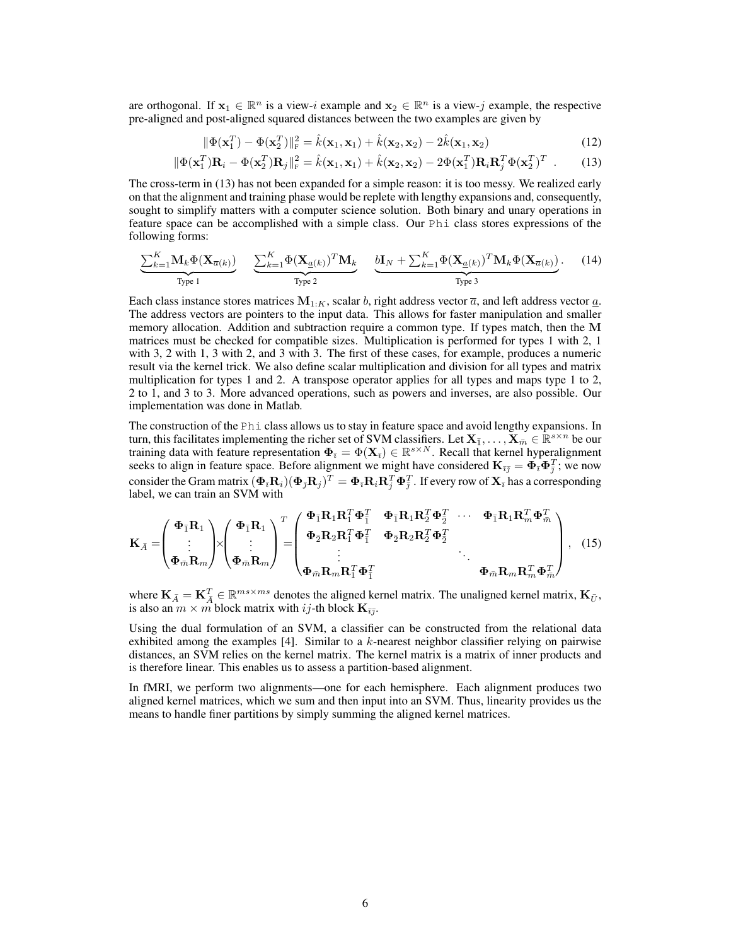are orthogonal. If  $x_1 \in \mathbb{R}^n$  is a view-i example and  $x_2 \in \mathbb{R}^n$  is a view-j example, the respective pre-aligned and post-aligned squared distances between the two examples are given by

$$
\|\Phi(\mathbf{x}_1^T) - \Phi(\mathbf{x}_2^T)\|_{\mathrm{F}}^2 = \hat{k}(\mathbf{x}_1, \mathbf{x}_1) + \hat{k}(\mathbf{x}_2, \mathbf{x}_2) - 2\hat{k}(\mathbf{x}_1, \mathbf{x}_2)
$$
(12)

$$
\|\Phi(\mathbf{x}_1^T)\mathbf{R}_i - \Phi(\mathbf{x}_2^T)\mathbf{R}_j\|_{\mathrm{F}}^2 = \hat{k}(\mathbf{x}_1, \mathbf{x}_1) + \hat{k}(\mathbf{x}_2, \mathbf{x}_2) - 2\Phi(\mathbf{x}_1^T)\mathbf{R}_i\mathbf{R}_j^T\Phi(\mathbf{x}_2^T)^T
$$
 (13)

The cross-term in (13) has not been expanded for a simple reason: it is too messy. We realized early on that the alignment and training phase would be replete with lengthy expansions and, consequently, sought to simplify matters with a computer science solution. Both binary and unary operations in feature space can be accomplished with a simple class. Our Phi class stores expressions of the following forms:

$$
\underbrace{\sum_{k=1}^{K} \mathbf{M}_{k} \Phi(\mathbf{X}_{\overline{a}(k)})}_{\text{Type 1}} \quad \underbrace{\sum_{k=1}^{K} \Phi(\mathbf{X}_{\underline{a}(k)})^T \mathbf{M}_{k}}_{\text{Type 2}} \quad \underbrace{\mathbf{b} \mathbf{I}_{N} + \sum_{k=1}^{K} \Phi(\mathbf{X}_{\underline{a}(k)})^T \mathbf{M}_{k} \Phi(\mathbf{X}_{\overline{a}(k)})}_{\text{Type 3}}.
$$
 (14)

Each class instance stores matrices  $M_{1:K}$ , scalar b, right address vector  $\overline{a}$ , and left address vector  $\underline{a}$ . The address vectors are pointers to the input data. This allows for faster manipulation and smaller memory allocation. Addition and subtraction require a common type. If types match, then the  $$ matrices must be checked for compatible sizes. Multiplication is performed for types 1 with 2, 1 with 3, 2 with 1, 3 with 2, and 3 with 3. The first of these cases, for example, produces a numeric result via the kernel trick. We also define scalar multiplication and division for all types and matrix multiplication for types 1 and 2. A transpose operator applies for all types and maps type 1 to 2, 2 to 1, and 3 to 3. More advanced operations, such as powers and inverses, are also possible. Our implementation was done in Matlab.

The construction of the Phi class allows us to stay in feature space and avoid lengthy expansions. In turn, this facilitates implementing the richer set of SVM classifiers. Let  $X_{\bar{1}},\ldots,X_{\bar{m}} \in \mathbb{R}^{s\times n}$  be our training data with feature representation  $\Phi_{\bar{i}} = \Phi(\mathbf{X}_{\bar{i}}) \in \mathbb{R}^{s \times N}$ . Recall that kernel hyperalignment seeks to align in feature space. Before alignment we might have considered  $K_{\bar{i}\bar{j}} = \Phi_{\bar{i}} \Phi_{\bar{j}}^T$ ; we now consider the Gram matrix  $(\pmb{\Phi}_{\bar{\imath}} \mathbf{R}_i)(\pmb{\Phi}_{\bar{\jmath}} \mathbf{R}_j)^T = \pmb{\Phi}_{\bar{\imath}} \mathbf{R}_i \mathbf{R}_j^T \pmb{\Phi}^T_{\bar{\jmath}}$  . If every row of  $\mathbf{X}_{\bar{\imath}}$  has a corresponding label, we can train an SVM with

$$
\mathbf{K}_{\bar{A}} = \begin{pmatrix} \boldsymbol{\Phi}_{\bar{1}} \mathbf{R}_{1} \\ \vdots \\ \boldsymbol{\Phi}_{\bar{m}} \mathbf{R}_{m} \end{pmatrix} \times \begin{pmatrix} \boldsymbol{\Phi}_{\bar{1}} \mathbf{R}_{1} \\ \vdots \\ \boldsymbol{\Phi}_{\bar{m}} \mathbf{R}_{m} \end{pmatrix}^{T} = \begin{pmatrix} \boldsymbol{\Phi}_{\bar{1}} \mathbf{R}_{1} \mathbf{R}_{1}^{T} \boldsymbol{\Phi}_{\bar{1}}^{T} & \boldsymbol{\Phi}_{\bar{1}} \mathbf{R}_{1} \mathbf{R}_{2}^{T} \boldsymbol{\Phi}_{2}^{T} & \cdots & \boldsymbol{\Phi}_{\bar{1}} \mathbf{R}_{1} \mathbf{R}_{m}^{T} \boldsymbol{\Phi}_{\bar{m}}^{T} \\ \vdots & \ddots & \vdots \\ \boldsymbol{\Phi}_{\bar{m}} \mathbf{R}_{m} \mathbf{R}_{1}^{T} \boldsymbol{\Phi}_{\bar{1}}^{T} & \boldsymbol{\Phi}_{\bar{m}} \mathbf{R}_{m} \mathbf{R}_{m}^{T} \boldsymbol{\Phi}_{\bar{m}}^{T} \end{pmatrix}, \quad (15)
$$

where  $\mathbf{K}_{\bar{A}} = \mathbf{K}_{\bar{A}}^T \in \mathbb{R}^{ms \times ms}$  denotes the aligned kernel matrix. The unaligned kernel matrix,  $\mathbf{K}_{\bar{U}}$ , is also an  $m \times m$  block matrix with ij-th block  $\mathbf{K}_{\bar{i}\bar{j}}$ .

Using the dual formulation of an SVM, a classifier can be constructed from the relational data exhibited among the examples [4]. Similar to a k-nearest neighbor classifier relying on pairwise distances, an SVM relies on the kernel matrix. The kernel matrix is a matrix of inner products and is therefore linear. This enables us to assess a partition-based alignment.

In fMRI, we perform two alignments—one for each hemisphere. Each alignment produces two aligned kernel matrices, which we sum and then input into an SVM. Thus, linearity provides us the means to handle finer partitions by simply summing the aligned kernel matrices.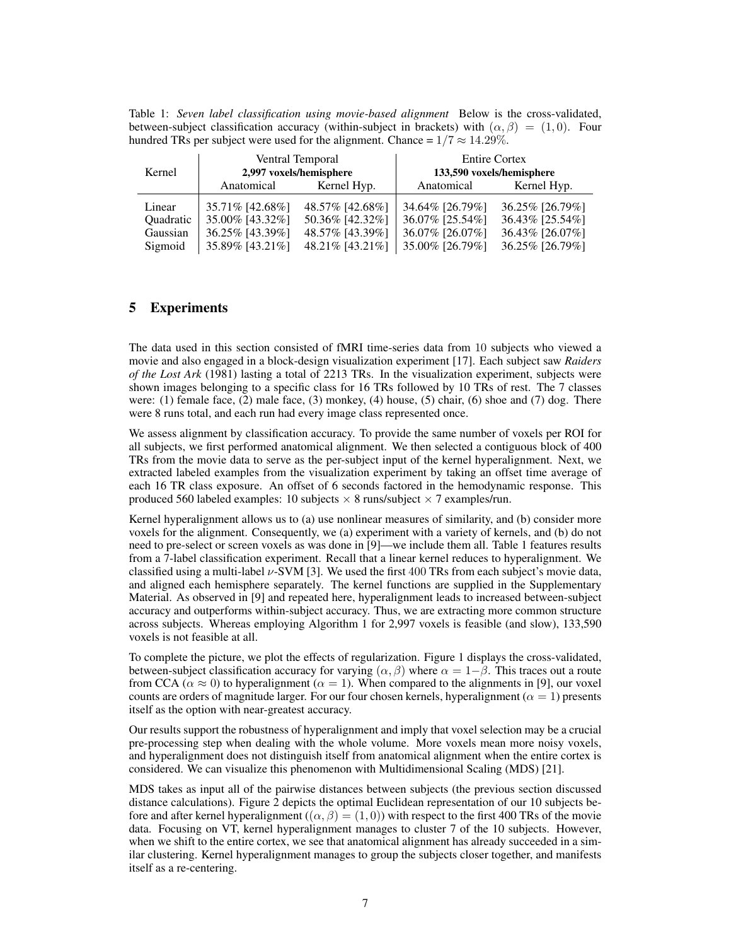Table 1: *Seven label classification using movie-based alignment* Below is the cross-validated, between-subject classification accuracy (within-subject in brackets) with  $(\alpha, \beta) = (1, 0)$ . Four hundred TRs per subject were used for the alignment. Chance =  $1/7 \approx 14.29\%$ .

| Kernel           | Ventral Temporal<br>2,997 voxels/hemisphere |                 | <b>Entire Cortex</b><br>133,590 voxels/hemisphere |                 |
|------------------|---------------------------------------------|-----------------|---------------------------------------------------|-----------------|
|                  | Anatomical                                  | Kernel Hyp.     | Anatomical                                        | Kernel Hyp.     |
| Linear           | 35.71% [42.68%]                             | 48.57% [42.68%] | 34.64% [26.79%]                                   | 36.25% [26.79%] |
| <b>Ouadratic</b> | 35.00% [43.32%]                             | 50.36% [42.32%] | 36.07% [25.54%]                                   | 36.43% [25.54%] |
| Gaussian         | 36.25% [43.39%]                             | 48.57% [43.39%] | 36.07% [26.07%]                                   | 36.43% [26.07%] |
| Sigmoid          | 35.89% [43.21%]                             | 48.21% [43.21%] | 35.00% [26.79%]                                   | 36.25% [26.79%] |

## 5 Experiments

The data used in this section consisted of fMRI time-series data from 10 subjects who viewed a movie and also engaged in a block-design visualization experiment [17]. Each subject saw *Raiders of the Lost Ark* (1981) lasting a total of 2213 TRs. In the visualization experiment, subjects were shown images belonging to a specific class for 16 TRs followed by 10 TRs of rest. The 7 classes were: (1) female face, (2) male face, (3) monkey, (4) house, (5) chair, (6) shoe and (7) dog. There were 8 runs total, and each run had every image class represented once.

We assess alignment by classification accuracy. To provide the same number of voxels per ROI for all subjects, we first performed anatomical alignment. We then selected a contiguous block of 400 TRs from the movie data to serve as the per-subject input of the kernel hyperalignment. Next, we extracted labeled examples from the visualization experiment by taking an offset time average of each 16 TR class exposure. An offset of 6 seconds factored in the hemodynamic response. This produced 560 labeled examples: 10 subjects  $\times$  8 runs/subject  $\times$  7 examples/run.

Kernel hyperalignment allows us to (a) use nonlinear measures of similarity, and (b) consider more voxels for the alignment. Consequently, we (a) experiment with a variety of kernels, and (b) do not need to pre-select or screen voxels as was done in [9]—we include them all. Table 1 features results from a 7-label classification experiment. Recall that a linear kernel reduces to hyperalignment. We classified using a multi-label  $\nu$ -SVM [3]. We used the first 400 TRs from each subject's movie data, and aligned each hemisphere separately. The kernel functions are supplied in the Supplementary Material. As observed in [9] and repeated here, hyperalignment leads to increased between-subject accuracy and outperforms within-subject accuracy. Thus, we are extracting more common structure across subjects. Whereas employing Algorithm 1 for 2,997 voxels is feasible (and slow), 133,590 voxels is not feasible at all.

To complete the picture, we plot the effects of regularization. Figure 1 displays the cross-validated, between-subject classification accuracy for varying  $(\alpha, \beta)$  where  $\alpha = 1-\beta$ . This traces out a route from CCA ( $\alpha \approx 0$ ) to hyperalignment ( $\alpha = 1$ ). When compared to the alignments in [9], our voxel counts are orders of magnitude larger. For our four chosen kernels, hyperalignment ( $\alpha = 1$ ) presents itself as the option with near-greatest accuracy.

Our results support the robustness of hyperalignment and imply that voxel selection may be a crucial pre-processing step when dealing with the whole volume. More voxels mean more noisy voxels, and hyperalignment does not distinguish itself from anatomical alignment when the entire cortex is considered. We can visualize this phenomenon with Multidimensional Scaling (MDS) [21].

MDS takes as input all of the pairwise distances between subjects (the previous section discussed distance calculations). Figure 2 depicts the optimal Euclidean representation of our 10 subjects before and after kernel hyperalignment  $((\alpha, \beta) = (1, 0))$  with respect to the first 400 TRs of the movie data. Focusing on VT, kernel hyperalignment manages to cluster 7 of the 10 subjects. However, when we shift to the entire cortex, we see that anatomical alignment has already succeeded in a similar clustering. Kernel hyperalignment manages to group the subjects closer together, and manifests itself as a re-centering.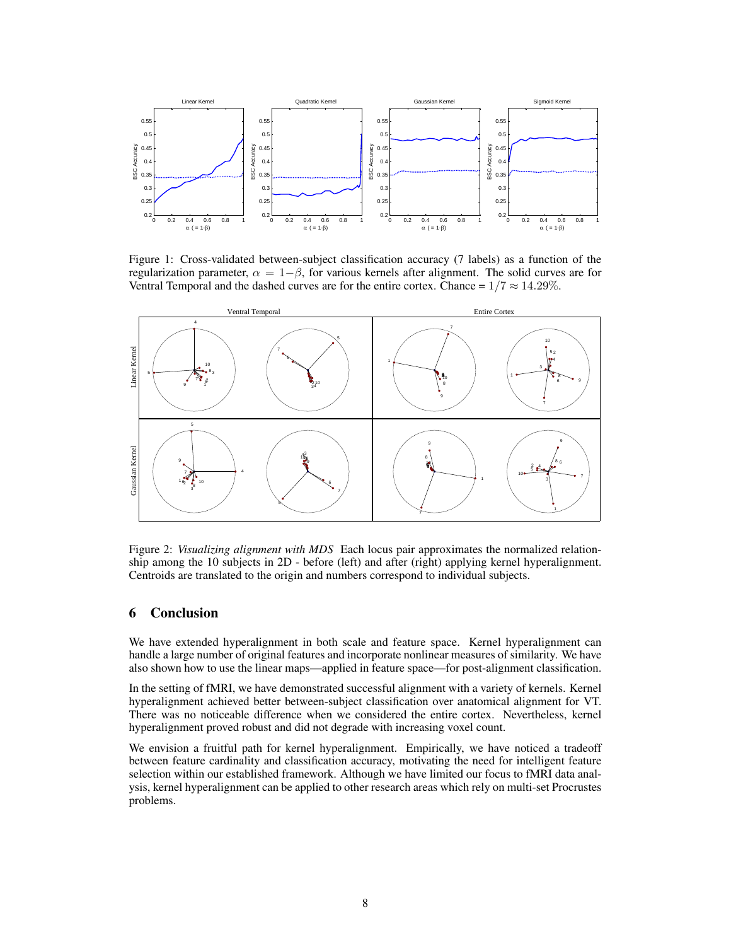

Figure 1: Cross-validated between-subject classification accuracy (7 labels) as a function of the regularization parameter,  $\alpha = 1-\beta$ , for various kernels after alignment. The solid curves are for Ventral Temporal and the dashed curves are for the entire cortex. Chance =  $1/7 \approx 14.29\%$ .



Figure 2: *Visualizing alignment with MDS* Each locus pair approximates the normalized relationship among the 10 subjects in 2D - before (left) and after (right) applying kernel hyperalignment. Centroids are translated to the origin and numbers correspond to individual subjects.

# 6 Conclusion

We have extended hyperalignment in both scale and feature space. Kernel hyperalignment can handle a large number of original features and incorporate nonlinear measures of similarity. We have also shown how to use the linear maps—applied in feature space—for post-alignment classification.

In the setting of fMRI, we have demonstrated successful alignment with a variety of kernels. Kernel hyperalignment achieved better between-subject classification over anatomical alignment for VT. There was no noticeable difference when we considered the entire cortex. Nevertheless, kernel hyperalignment proved robust and did not degrade with increasing voxel count.

We envision a fruitful path for kernel hyperalignment. Empirically, we have noticed a tradeoff between feature cardinality and classification accuracy, motivating the need for intelligent feature selection within our established framework. Although we have limited our focus to fMRI data analysis, kernel hyperalignment can be applied to other research areas which rely on multi-set Procrustes problems.